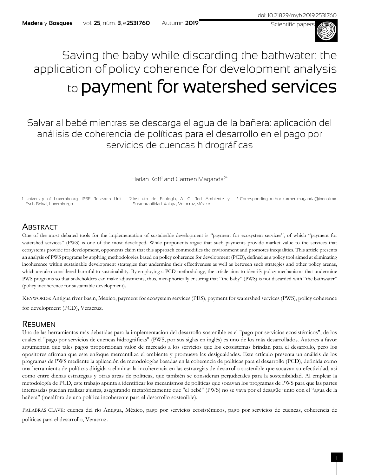

# Saving the baby while discarding the bathwater: the application of policy coherence for development analysis to payment for watershed services

Salvar al bebé mientras se descarga el agua de la bañera: aplicación del análisis de coherencia de políticas para el desarrollo en el pago por servicios de cuencas hidrográficas

Harlan Koff<sup>1</sup> and Carmen Maganda<sup>2\*</sup>

1 University of Luxembourg. IPSE Research Unit. Esch-Belval, Luxemburgo. 2 Instituto de Ecología, A. C. Red Ambiente y \* Corresponding author. carmen.maganda@inecol.mx Sustentabilidad. Xalapa, Veracruz, México.

# **ABSTRACT**

One of the most debated tools for the implementation of sustainable development is "payment for ecosystem services", of which "payment for watershed services" (PWS) is one of the most developed. While proponents argue that such payments provide market value to the services that ecosystems provide for development, opponents claim that this approach commodifies the environment and promotes inequalities. This article presents an analysis of PWS programs by applying methodologies based on policy coherence for development (PCD), defined as a policy tool aimed at eliminating incoherence within sustainable development strategies that undermine their effectiveness as well as between such strategies and other policy arenas, which are also considered harmful to sustainability. By employing a PCD methodology, the article aims to identify policy mechanisms that undermine PWS programs so that stakeholders can make adjustments, thus, metaphorically ensuring that "the baby" (PWS) is not discarded with "the bathwater" (policy incoherence for sustainable development).

KEYWORDS: Antigua river basin, Mexico, payment for ecosystem services (PES), payment for watershed services (PWS), policy coherence for development (PCD), Veracruz.

# **RESUMEN**

Una de las herramientas más debatidas para la implementación del desarrollo sostenible es el "pago por servicios ecosistémicos", de los cuales el "pago por servicios de cuencas hidrográficas" (PWS, por sus siglas en inglés) es uno de los más desarrollados. Autores a favor argumentan que tales pagos proporcionan valor de mercado a los servicios que los ecosistemas brindan para el desarrollo, pero los opositores afirman que este enfoque mercantiliza el ambiente y promueve las desigualdades. Este artículo presenta un análisis de los programas de PWS mediante la aplicación de metodologías basadas en la coherencia de políticas para el desarrollo (PCD), definida como una herramienta de políticas dirigida a eliminar la incoherencia en las estrategias de desarrollo sostenible que socavan su efectividad, así como entre dichas estrategias y otras áreas de políticas, que también se consideran perjudiciales para la sostenibilidad. Al emplear la metodología de PCD, este trabajo apunta a identificar los mecanismos de políticas que socavan los programas de PWS para que las partes interesadas puedan realizar ajustes, asegurando metafóricamente que "el bebé" (PWS) no se vaya por el desagüe junto con el "agua de la bañera" (metáfora de una política incoherente para el desarrollo sostenible).

PALABRAS CLAVE: cuenca del río Antigua, México, pago por servicios ecosistémicos, pago por servicios de cuencas, coherencia de políticas para el desarrollo, Veracruz.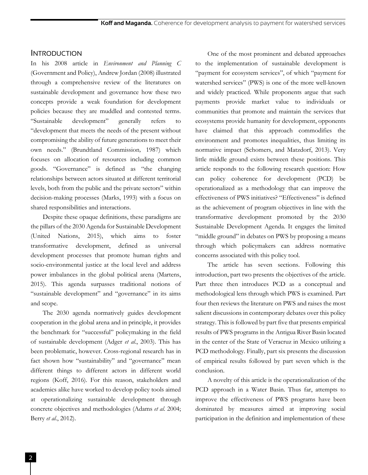## INTRODUCTION

In his 2008 article in *Environment and Planning C* (Government and Policy), Andrew Jordan (2008) illustrated through a comprehensive review of the literatures on sustainable development and governance how these two concepts provide a weak foundation for development policies because they are muddled and contested terms. "Sustainable development" generally refers to "development that meets the needs of the present without compromising the ability of future generations to meet their own needs." (Brundtland Commission*,* 1987) which focuses on allocation of resources including common goods. "Governance" is defined as "the changing relationships between actors situated at different territorial levels, both from the public and the private sectors" within decision-making processes (Marks, 1993) with a focus on shared responsibilities and interactions.

Despite these opaque definitions, these paradigms are the pillars of the 2030 Agenda for Sustainable Development (United Nations, 2015), which aims to foster transformative development, defined as universal development processes that promote human rights and socio-environmental justice at the local level and address power imbalances in the global political arena (Martens, 2015). This agenda surpasses traditional notions of "sustainable development" and "governance" in its aims and scope.

The 2030 agenda normatively guides development cooperation in the global arena and in principle, it provides the benchmark for "successful" policymaking in the field of sustainable development (Adger *et al*., 2003). This has been problematic, however. Cross-regional research has in fact shown how "sustainability" and "governance" mean different things to different actors in different world regions (Koff, 2016). For this reason, stakeholders and academics alike have worked to develop policy tools aimed at operationalizing sustainable development through concrete objectives and methodologies (Adams *et al*. 2004; Berry *et al*., 2012).

One of the most prominent and debated approaches to the implementation of sustainable development is "payment for ecosystem services", of which "payment for watershed services" (PWS) is one of the more well-known and widely practiced. While proponents argue that such payments provide market value to individuals or communities that promote and maintain the services that ecosystems provide humanity for development, opponents have claimed that this approach commodifies the environment and promotes inequalities, thus limiting its normative impact (Schomers, and Matzdorf, 2013). Very little middle ground exists between these positions. This article responds to the following research question: How can policy coherence for development (PCD) be operationalized as a methodology that can improve the effectiveness of PWS initiatives? "Effectiveness" is defined as the achievement of program objectives in line with the transformative development promoted by the 2030 Sustainable Development Agenda. It engages the limited "middle ground" in debates on PWS by proposing a means through which policymakers can address normative concerns associated with this policy tool.

The article has seven sections. Following this introduction, part two presents the objectives of the article. Part three then introduces PCD as a conceptual and methodological lens through which PWS is examined. Part four then reviews the literature on PWS and raises the most salient discussions in contemporary debates over this policy strategy. This is followed by part five that presents empirical results of PWS programs in the Antigua River Basin located in the center of the State of Veracruz in Mexico utilizing a PCD methodology. Finally, part six presents the discussion of empirical results followed by part seven which is the conclusion.

A novelty of this article is the operationalization of the PCD approach in a Water Basin. Thus far, attempts to improve the effectiveness of PWS programs have been dominated by measures aimed at improving social participation in the definition and implementation of these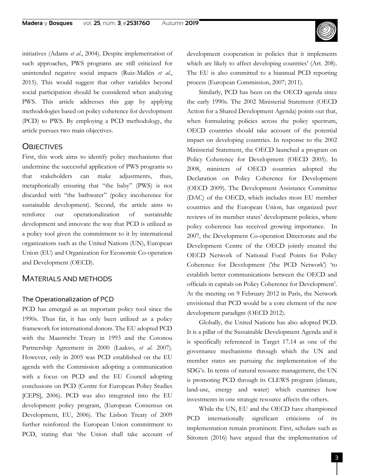initiatives (Adams *et al*., 2004). Despite implementation of such approaches, PWS programs are still criticized for unintended negative social impacts (Ruiz-Mallén *et al*., 2015). This would suggest that other variables beyond social participation should be considered when analyzing PWS. This article addresses this gap by applying methodologies based on policy coherence for development (PCD) to PWS. By employing a PCD methodology, the article pursues two main objectives.

## **OBJECTIVES**

First, this work aims to identify policy mechanisms that undermine the successful application of PWS programs so that stakeholders can make adjustments, thus, metaphorically ensuring that "the baby" (PWS) is not discarded with "the bathwater" (policy incoherence for sustainable development). Second, the article aims to reinforce our operationalization of sustainable development and innovate the way that PCD is utilized as a policy tool given the commitment to it by international organizations such as the United Nations (UN), European Union (EU) and Organization for Economic Co-operation and Development (OECD).

## MATERIALS AND METHODS

#### The Operationalization of PCD

PCD has emerged as an important policy tool since the 1990s. Thus far, it has only been utilized as a policy framework for international donors. The EU adopted PCD with the Maastricht Treaty in 1993 and the Cotonou Partnership Agreement in 2000 (Laakso, *et al*. 2007). However, only in 2005 was PCD established on the EU agenda with the Commission adopting a communication with a focus on PCD and the EU Council adopting conclusions on PCD (Centre for European Policy Studies [CEPS], 2006). PCD was also integrated into the EU development policy program, (European Consensus on Development, EU, 2006). The Lisbon Treaty of 2009 further reinforced the European Union commitment to PCD, stating that 'the Union shall take account of development cooperation in policies that it implements which are likely to affect developing countries' (Art. 208). The EU is also committed to a biannual PCD reporting process (European Commission, 2007; 2011).

Similarly, PCD has been on the OECD agenda since the early 1990s. The 2002 Ministerial Statement (OECD Action for a Shared Development Agenda) points out that, when formulating policies across the policy spectrum, OECD countries should take account of the potential impact on developing countries. In response to the 2002 Ministerial Statement, the OECD launched a program on Policy Coherence for Development (OECD 2005). In 2008, ministers of OECD countries adopted the Declaration on Policy Coherence for Development (OECD 2009). The Development Assistance Committee (DAC) of the OECD, which includes most EU member countries and the European Union, has organized peer reviews of its member states' development policies, where policy coherence has received growing importance. In 2007, the Development Co-operation Directorate and the Development Centre of the OECD jointly created the OECD Network of National Focal Points for Policy Coherence for Development ('the PCD Network') 'to establish better communications between the OECD and officials in capitals on Policy Coherence for Development'. At the meeting on 9 February 2012 in Paris, the Network envisioned that PCD would be a core element of the new development paradigm (OECD 2012).

Globally, the United Nations has also adopted PCD. It is a pillar of the Sustainable Development Agenda and it is specifically referenced in Target 17.14 as one of the governance mechanisms through which the UN and member states are pursuing the implementation of the SDG's. In terms of natural resource management, the UN is promoting PCD through its CLEWS program (climate, land-use, energy and water) which examines how investments in one strategic resource affects the others.

While the UN, EU and the OECD have championed PCD internationally significant criticisms of its implementation remain prominent. First, scholars such as Siitonen (2016) have argued that the implementation of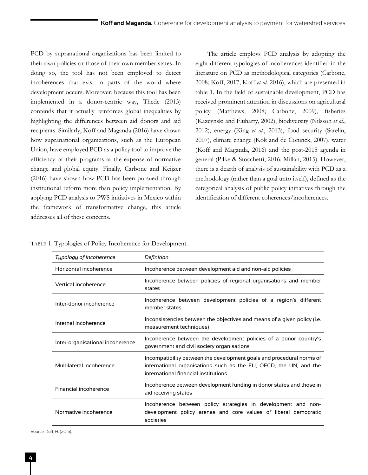PCD by supranational organizations has been limited to their own policies or those of their own member states. In doing so, the tool has not been employed to detect incoherences that exist in parts of the world where development occurs. Moreover, because this tool has been implemented in a donor-centric way, Thede (2013) contends that it actually reinforces global inequalities by highlighting the differences between aid donors and aid recipients. Similarly, Koff and Maganda (2016) have shown how supranational organizations, such as the European Union, have employed PCD as a policy tool to improve the efficiency of their programs at the expense of normative change and global equity. Finally, Carbone and Keijzer (2016) have shown how PCD has been pursued through institutional reform more than policy implementation. By applying PCD analysis to PWS initiatives in Mexico within the framework of transformative change, this article addresses all of these concerns.

The article employs PCD analysis by adopting the eight different typologies of incoherences identified in the literature on PCD as methodological categories (Carbone, 2008; Koff, 2017; Koff *et al*. 2016), which are presented in table 1. In the field of sustainable development, PCD has received prominent attention in discussions on agricultural policy (Matthews, 2008; Carbone, 2009), fisheries (Kazcynski and Fluharty, 2002), biodiversity (Nilsson *et al*., 2012), energy (King *et al*., 2013), food security (Sarelin, 2007), climate change (Kok and de Coninck, 2007), water (Koff and Maganda, 2016) and the post-2015 agenda in general (Pilke & Stocchetti, 2016; Millán, 2015). However, there is a dearth of analysis of sustainability with PCD as a methodology (rather than a goal unto itself), defined as the categorical analysis of public policy initiatives through the identification of different coherences/incoherences.

TABLE 1. Typologies of Policy Incoherence for Development.

| Typology of Incoherence          | Definition                                                                                                                                                                         |
|----------------------------------|------------------------------------------------------------------------------------------------------------------------------------------------------------------------------------|
| Horizontal incoherence           | Incoherence between development aid and non-aid policies                                                                                                                           |
| Vertical incoherence             | Incoherence between policies of regional organisations and member<br>states                                                                                                        |
| Inter-donor incoherence          | Incoherence between development policies of a region's different<br>member states                                                                                                  |
| Internal incoherence             | Inconsistencies between the objectives and means of a given policy (i.e.<br>measurement techniques)                                                                                |
| Inter-organisational incoherence | Incoherence between the development policies of a donor country's<br>government and civil society organisations                                                                    |
| Multilateral incoherence         | Incompatibility between the development goals and procedural norms of<br>international organisations such as the EU, OECD, the UN, and the<br>international financial institutions |
| Financial incoherence            | Incoherence between development funding in donor states and those in<br>aid receiving states                                                                                       |
| Normative incoherence            | Incoherence between policy strategies in development and non-<br>development policy arenas and core values of liberal democratic<br>societies                                      |

Source: Koff, H. (2015).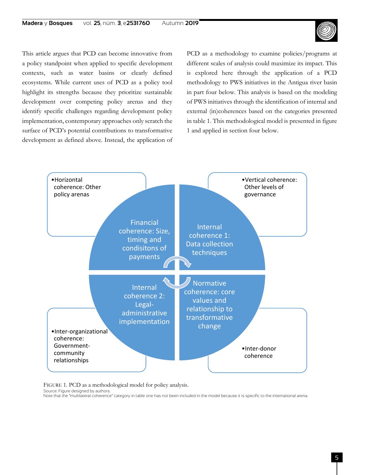

This article argues that PCD can become innovative from a policy standpoint when applied to specific development contexts, such as water basins or clearly defined ecosystems. While current uses of PCD as a policy tool highlight its strengths because they prioritize sustainable development over competing policy arenas and they identify specific challenges regarding development policy implementation, contemporary approaches only scratch the surface of PCD's potential contributions to transformative development as defined above. Instead, the application of PCD as a methodology to examine policies/programs at different scales of analysis could maximize its impact. This is explored here through the application of a PCD methodology to PWS initiatives in the Antigua river basin in part four below. This analysis is based on the modeling of PWS initiatives through the identification of internal and external (in)coherences based on the categories presented in table 1. This methodological model is presented in figure 1 and applied in section four below.



FIGURE 1. PCD as a methodological model for policy analysis.

Source: Figure designed by authors.

Note that the "multilateral coherence" category in table one has not been included in the model because it is specific to the international arena.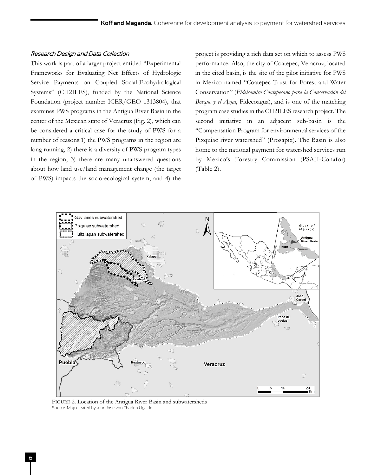#### Research Design and Data Collection

This work is part of a larger project entitled "Experimental Frameworks for Evaluating Net Effects of Hydrologic Service Payments on Coupled Social-Ecohydrological Systems" (CH2ILES), funded by the National Science Foundation (project number ICER/GEO 1313804), that examines PWS programs in the Antigua River Basin in the center of the Mexican state of Veracruz (Fig. 2), which can be considered a critical case for the study of PWS for a number of reasons:1) the PWS programs in the region are long running, 2) there is a diversity of PWS program types in the region, 3) there are many unanswered questions about how land use/land management change (the target of PWS) impacts the socio-ecological system, and 4) the project is providing a rich data set on which to assess PWS performance. Also, the city of Coatepec, Veracruz, located in the cited basin, is the site of the pilot initiative for PWS in Mexico named "Coatepec Trust for Forest and Water Conservation" (*Fideicomiso Coatepecano para la Conservación del Bosque y el Agua*, Fidecoagua), and is one of the matching program case studies in the CH2ILES research project. The second initiative in an adjacent sub-basin is the "Compensation Program for environmental services of the Pixquiac river watershed" (Prosapix). The Basin is also home to the national payment for watershed services run by Mexico's Forestry Commission (PSAH-Conafor) (Table 2).



FIGURE 2. Location of the Antigua River Basin and subwatersheds Source: Map created by Juan Jose von Thaden Ugalde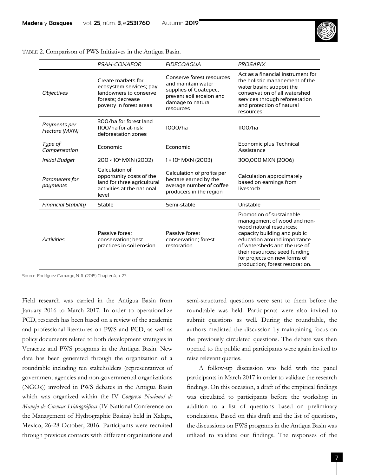

|  |  |  |  |  |  | TABLE 2. Comparison of PWS Initiatives in the Antigua Basin. |
|--|--|--|--|--|--|--------------------------------------------------------------|
|--|--|--|--|--|--|--------------------------------------------------------------|

|                               | <b>PSAH-CONAFOR</b>                                                                                                     | <b>FIDECOAGUA</b>                                                                                                                      | <b>PROSAPIX</b>                                                                                                                                                                                                                                                                       |
|-------------------------------|-------------------------------------------------------------------------------------------------------------------------|----------------------------------------------------------------------------------------------------------------------------------------|---------------------------------------------------------------------------------------------------------------------------------------------------------------------------------------------------------------------------------------------------------------------------------------|
| <b>Objectives</b>             | Create markets for<br>ecosystem services; pay<br>landowners to conserve<br>forests; decrease<br>poverty in forest areas | Conserve forest resources<br>and maintain water<br>supplies of Coatepec;<br>prevent soil erosion and<br>damage to natural<br>resources | Act as a financial instrument for<br>the holistic management of the<br>water basin; support the<br>conservation of all watershed<br>services through reforestation<br>and protection of natural<br>resources                                                                          |
| Payments per<br>Hectare (MXN) | 300/ha for forest land<br>1100/ha for at-risk<br>deforestation zones                                                    | 1000/ha                                                                                                                                | 1100/ha                                                                                                                                                                                                                                                                               |
| Type of<br>Compensation       | Economic                                                                                                                | Economic                                                                                                                               | Economic plus Technical<br>Assistance                                                                                                                                                                                                                                                 |
| Initial Budget                | 200 × 10 <sup>6</sup> MXN (2002)                                                                                        | $1 \times 10^{6}$ MXN (2003)                                                                                                           | 300,000 MXN (2006)                                                                                                                                                                                                                                                                    |
| Parameters for<br>payments    | Calculation of<br>opportunity costs of the<br>land for three agricultural<br>activities at the national<br>level        | Calculation of profits per<br>hectare earned by the<br>average number of coffee<br>producers in the region                             | Calculation approximately<br>based on earnings from<br>livestock                                                                                                                                                                                                                      |
| <b>Financial Stability</b>    | Stable                                                                                                                  | Semi-stable                                                                                                                            | Unstable                                                                                                                                                                                                                                                                              |
| <b>Activities</b>             | Passive forest<br>conservation; best<br>practices in soil erosion                                                       | Passive forest<br>conservation; forest<br>restoration                                                                                  | Promotion of sustainable<br>management of wood and non-<br>wood natural resources;<br>capacity building and public<br>education around importance<br>of watersheds and the use of<br>their resources; seed funding<br>for projects on new forms of<br>production; forest restoration. |

Source: Rodríguez Camargo, N. R. (2015) Chapter 4, p. 23.

Field research was carried in the Antigua Basin from January 2016 to March 2017. In order to operationalize PCD, research has been based on a review of the academic and professional literatures on PWS and PCD, as well as policy documents related to both development strategies in Veracruz and PWS programs in the Antigua Basin. New data has been generated through the organization of a roundtable including ten stakeholders (representatives of government agencies and non-governmental organizations (NGOs)) involved in PWS debates in the Antigua Basin which was organized within the IV *Congreso Nacional de Manejo de Cuencas Hidrográficas* (IV National Conference on the Management of Hydrographic Basins) held in Xalapa, Mexico, 26-28 October, 2016. Participants were recruited through previous contacts with different organizations and semi-structured questions were sent to them before the roundtable was held. Participants were also invited to submit questions as well. During the roundtable, the authors mediated the discussion by maintaining focus on the previously circulated questions. The debate was then opened to the public and participants were again invited to raise relevant queries.

A follow-up discussion was held with the panel participants in March 2017 in order to validate the research findings. On this occasion, a draft of the empirical findings was circulated to participants before the workshop in addition to a list of questions based on preliminary conclusions. Based on this draft and the list of questions, the discussions on PWS programs in the Antigua Basin was utilized to validate our findings. The responses of the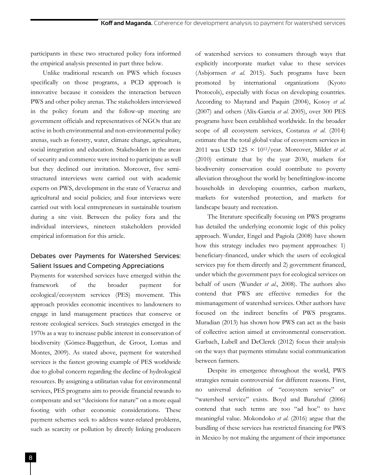participants in these two structured policy fora informed the empirical analysis presented in part three below.

Unlike traditional research on PWS which focuses specifically on those programs, a PCD approach is innovative because it considers the interaction between PWS and other policy arenas. The stakeholders interviewed in the policy forum and the follow-up meeting are government officials and representatives of NGOs that are active in both environmental and non-environmental policy arenas, such as forestry, water, climate change, agriculture, social integration and education. Stakeholders in the areas of security and commerce were invited to participate as well but they declined our invitation. Moreover, five semistructured interviews were carried out with academic experts on PWS, development in the state of Veracruz and agricultural and social policies; and four interviews were carried out with local entrepreneurs in sustainable tourism during a site visit. Between the policy fora and the individual interviews, nineteen stakeholders provided empirical information for this article.

# Debates over Payments for Watershed Services: Salient Issues and Competing Appreciations

Payments for watershed services have emerged within the framework of the broader payment for ecological/ecosystem services (PES) movement. This approach provides economic incentives to landowners to engage in land management practices that conserve or restore ecological services. Such strategies emerged in the 1970s as a way to increase public interest in conservation of biodiversity (Gómez-Baggethun, de Groot, Lomas and Montes, 2009). As stated above, payment for watershed services is the fastest growing example of PES worldwide due to global concern regarding the decline of hydrological resources. By assigning a utilitarian value for environmental services, PES programs aim to provide financial rewards to compensate and set "decisions for nature" on a more equal footing with other economic considerations. These payment schemes seek to address water-related problems, such as scarcity or pollution by directly linking producers

of watershed services to consumers through ways that explicitly incorporate market value to these services (Asbjornsen *et al*. 2015). Such programs have been promoted by international organizations (Kyoto Protocols), especially with focus on developing countries. According to Mayrand and Paquin (2004), Kosoy *et al*. (2007) and others (Alix-Garcia *et al*. 2005), over 300 PES programs have been established worldwide. In the broader scope of all ecosystem services, Costanza *et al*. (2014) estimate that the total global value of ecosystem services in 2011 was USD 125 × 1012/year. Moreover, Milder *et al*. (2010) estimate that by the year 2030, markets for biodiversity conservation could contribute to poverty alleviation throughout the world by benefittinglow-income households in developing countries, carbon markets, markets for watershed protection, and markets for landscape beauty and recreation.

The literature specifically focusing on PWS programs has detailed the underlying economic logic of this policy approach. Wunder, Engel and Pagiola (2008) have shown how this strategy includes two payment approaches: 1) beneficiary-financed, under which the users of ecological services pay for them directly and 2) government financed, under which the government pays for ecological services on behalf of users (Wunder *et al*., 2008). The authors also contend that PWS are effective remedies for the mismanagement of watershed services. Other authors have focused on the indirect benefits of PWS programs. Muradian (2013) has shown how PWS can act as the basis of collective action aimed at environmental conservation. Garbach, Lubell and DeClerck (2012) focus their analysis on the ways that payments stimulate social communication between farmers.

Despite its emergence throughout the world, PWS strategies remain controversial for different reasons. First, no universal definition of "ecosystem service" or "watershed service" exists. Boyd and Banzhaf (2006) contend that such terms are too "ad hoc" to have meaningful value. Mokondoko *et al*. (2016) argue that the bundling of these services has restricted financing for PWS in Mexico by not making the argument of their importance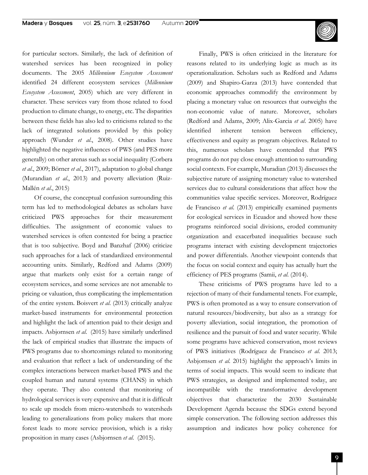

for particular sectors. Similarly, the lack of definition of watershed services has been recognized in policy documents. The 2005 *Millennium Ecosystem Assessment* identified 24 different ecosystem services (*Millennium Ecosystem Assessment*, 2005) which are very different in character. These services vary from those related to food production to climate change, to energy, etc. The disparities between these fields has also led to criticisms related to the lack of integrated solutions provided by this policy approach (Wunder *et al*., 2008). Other studies have highlighted the negative influences of PWS (and PES more generally) on other arenas such as social inequality (Corbera *et al*., 2009; Börner *et al*., 2017), adaptation to global change (Murandian *et al*., 2013) and poverty alleviation (Ruiz-Mallén *et al*., 2015)

Of course, the conceptual confusion surrounding this term has led to methodological debates as scholars have criticized PWS approaches for their measurement difficulties. The assignment of economic values to watershed services is often contested for being a practice that is too subjective. Boyd and Banzhaf (2006) criticize such approaches for a lack of standardized environmental accounting units. Similarly, Redford and Adams (2009) argue that markets only exist for a certain range of ecosystem services, and some services are not amenable to pricing or valuation, thus complicating the implementation of the entire system. Boisvert *et al*. (2013) critically analyze market-based instruments for environmental protection and highlight the lack of attention paid to their design and impacts. Asbjornsen *et al*. (2015) have similarly underlined the lack of empirical studies that illustrate the impacts of PWS programs due to shortcomings related to monitoring and evaluation that reflect a lack of understanding of the complex interactions between market-based PWS and the coupled human and natural systems (CHANS) in which they operate. They also contend that monitoring of hydrological services is very expensive and that it is difficult to scale up models from micro-watersheds to watersheds leading to generalizations from policy makers that more forest leads to more service provision, which is a risky proposition in many cases (Asbjornsen *et al*. (2015).

Finally, PWS is often criticized in the literature for reasons related to its underlying logic as much as its operationalization. Scholars such as Redford and Adams (2009) and Shapiro-Garza (2013) have contended that economic approaches commodify the environment by placing a monetary value on resources that outweighs the non-economic value of nature. Moreover, scholars (Redford and Adams, 2009; Alix-Garcia *et al*. 2005) have identified inherent tension between efficiency, effectiveness and equity as program objectives. Related to this, numerous scholars have contended that PWS programs do not pay close enough attention to surrounding social contexts. For example, Muradian (2013) discusses the subjective nature of assigning monetary value to watershed services due to cultural considerations that affect how the communities value specific services. Moreover, Rodríguez de Francisco *et al*. (2013) empirically examined payments for ecological services in Ecuador and showed how these programs reinforced social divisions, eroded community organization and exacerbated inequalities because such programs interact with existing development trajectories and power differentials. Another viewpoint contends that the focus on social context and equity has actually hurt the efficiency of PES programs (Samii, *et al*. (2014).

These criticisms of PWS programs have led to a rejection of many of their fundamental tenets. For example, PWS is often promoted as a way to ensure conservation of natural resources/biodiversity, but also as a strategy for poverty alleviation, social integration, the promotion of resilience and the pursuit of food and water security. While some programs have achieved conservation, most reviews of PWS initiatives (Rodríguez de Francisco *et al*. 2013; Asbjornsen *et al*. 2015) highlight the approach's limits in terms of social impacts. This would seem to indicate that PWS strategies, as designed and implemented today, are incompatible with the transformative development objectives that characterize the 2030 Sustainable Development Agenda because the SDGs extend beyond simple conservation. The following section addresses this assumption and indicates how policy coherence for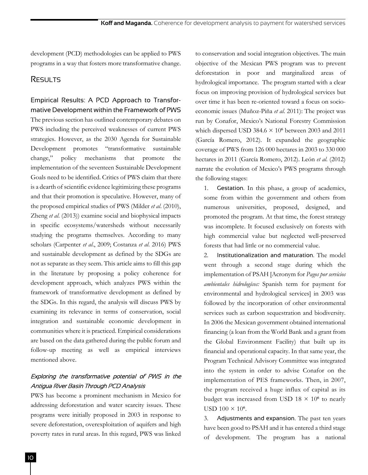development (PCD) methodologies can be applied to PWS programs in a way that fosters more transformative change.

## **RESULTS**

# Empirical Results: A PCD Approach to Transformative Development within the Framework of PWS

The previous section has outlined contemporary debates on PWS including the perceived weaknesses of current PWS strategies. However, as the 2030 Agenda for Sustainable Development promotes "transformative sustainable change," policy mechanisms that promote the implementation of the seventeen Sustainable Development Goals need to be identified. Critics of PWS claim that there is a dearth of scientific evidence legitimizing these programs and that their promotion is speculative. However, many of the proposed empirical studies of PWS (Milder *et al*. (2010), Zheng *et al*. (2013)) examine social and biophysical impacts in specific ecosystems/watersheds without necessarily studying the programs themselves. According to many scholars (Carpenter *et al*., 2009; Costanza *et al*. 2016) PWS and sustainable development as defined by the SDGs are not as separate as they seem. This article aims to fill this gap in the literature by proposing a policy coherence for development approach, which analyzes PWS within the framework of transformative development as defined by the SDGs. In this regard, the analysis will discuss PWS by examining its relevance in terms of conservation, social integration and sustainable economic development in communities where it is practiced. Empirical considerations are based on the data gathered during the public forum and follow-up meeting as well as empirical interviews mentioned above.

## Exploring the transformative potential of PWS in the Antigua River Basin Through PCD Analysis

PWS has become a prominent mechanism in Mexico for addressing deforestation and water scarcity issues. These programs were initially proposed in 2003 in response to severe deforestation, overexploitation of aquifers and high poverty rates in rural areas. In this regard, PWS was linked to conservation and social integration objectives. The main objective of the Mexican PWS program was to prevent deforestation in poor and marginalized areas of hydrological importance. The program started with a clear focus on improving provision of hydrological services but over time it has been re-oriented toward a focus on socioeconomic issues (Muñoz-Piña *et al*. 2011): The project was run by Conafor, Mexico's National Forestry Commission which dispersed USD 384.6  $\times$  10<sup>6</sup> between 2003 and 2011 (García Romero, 2012). It expanded the geographic coverage of PWS from 126 000 hectares in 2003 to 330 000 hectares in 2011 (García Romero, 2012). León *et al*. (2012) narrate the evolution of Mexico's PWS programs through the following stages:

1. Gestation. In this phase, a group of academics, some from within the government and others from numerous universities, proposed, designed, and promoted the program. At that time, the forest strategy was incomplete. It focused exclusively on forests with high commercial value but neglected well-preserved forests that had little or no commercial value.

2. Institutionalization and maturation. The model went through a second stage during which the implementation of PSAH [Acronym for *Pagos por servicios ambientales hidrologícos:* Spanish term for payment for environmental and hydrological services] in 2003 was followed by the incorporation of other environmental services such as carbon sequestration and biodiversity. In 2006 the Mexican government obtained international financing (a loan from the World Bank and a grant from the Global Environment Facility) that built up its financial and operational capacity. In that same year, the Program Technical Advisory Committee was integrated into the system in order to advise Conafor on the implementation of PES frameworks. Then, in 2007, the program received a huge influx of capital as its budget was increased from USD  $18 \times 10^6$  to nearly USD  $100 \times 10^6$ .

3. Adjustments and expansion. The past ten years have been good to PSAH and it has entered a third stage of development. The program has a national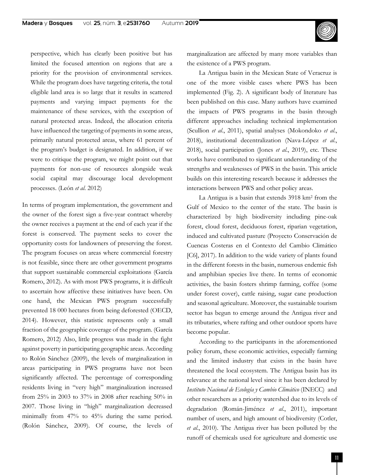perspective, which has clearly been positive but has limited the focused attention on regions that are a priority for the provision of environmental services. While the program does have targeting criteria, the total eligible land area is so large that it results in scattered payments and varying impact payments for the maintenance of these services, with the exception of natural protected areas. Indeed, the allocation criteria have influenced the targeting of payments in some areas, primarily natural protected areas, where 61 percent of the program's budget is designated. In addition, if we were to critique the program, we might point out that payments for non-use of resources alongside weak social capital may discourage local development processes. (León *et al*. 2012)

In terms of program implementation, the government and the owner of the forest sign a five-year contract whereby the owner receives a payment at the end of each year if the forest is conserved. The payment seeks to cover the opportunity costs for landowners of preserving the forest. The program focuses on areas where commercial forestry is not feasible, since there are other government programs that support sustainable commercial exploitations (García Romero, 2012). As with most PWS programs, it is difficult to ascertain how affective these initiatives have been. On one hand, the Mexican PWS program successfully prevented 18 000 hectares from being deforested (OECD, 2014). However, this statistic represents only a small fraction of the geographic coverage of the program. (García Romero, 2012) Also, little progress was made in the fight against poverty in participating geographic areas. According to Rolón Sánchez (2009), the levels of marginalization in areas participating in PWS programs have not been significantly affected. The percentage of corresponding residents living in "very high" marginalization increased from 25% in 2003 to 37% in 2008 after reaching 50% in 2007. Those living in "high" marginalization decreased minimally from 47% to 45% during the same period. (Rolón Sánchez, 2009). Of course, the levels of marginalization are affected by many more variables than the existence of a PWS program.

La Antigua basin in the Mexican State of Veracruz is one of the more visible cases where PWS has been implemented (Fig. 2). A significant body of literature has been published on this case. Many authors have examined the impacts of PWS programs in the basin through different approaches including technical implementation (Scullion *et al*., 2011), spatial analyses (Mokondoko *et al*., 2018), institutional decentralization (Nava-López *et al*., 2018), social participation (Jones *et al*., 2019), etc. These works have contributed to significant understanding of the strengths and weaknesses of PWS in the basin. This article builds on this interesting research because it addresses the interactions between PWS and other policy areas.

La Antigua is a basin that extends 3918 km2 from the Gulf of Mexico to the center of the state. The basin is characterized by high biodiversity including pine-oak forest, cloud forest, deciduous forest, riparian vegetation, induced and cultivated pasture (Proyecto Conservación de Cuencas Costeras en el Contexto del Cambio Climático [C6], 2017). In addition to the wide variety of plants found in the different forests in the basin, numerous endemic fish and amphibian species live there. In terms of economic activities, the basin fosters shrimp farming, coffee (some under forest cover), cattle raising, sugar cane production and seasonal agriculture. Moreover, the sustainable tourism sector has begun to emerge around the Antigua river and its tributaries, where rafting and other outdoor sports have become popular.

According to the participants in the aforementioned policy forum, these economic activities, especially farming and the limited industry that exists in the basin have threatened the local ecosystem. The Antigua basin has its relevance at the national level since it has been declared by *Instituto Nacional de Ecología y Cambio Climático* (INECC) and other researchers as a priority watershed due to its levels of degradation (Román-Jiménez *et al*., 2011), important number of users, and high amount of biodiversity (Cotler, *et al*., 2010). The Antigua river has been polluted by the runoff of chemicals used for agriculture and domestic use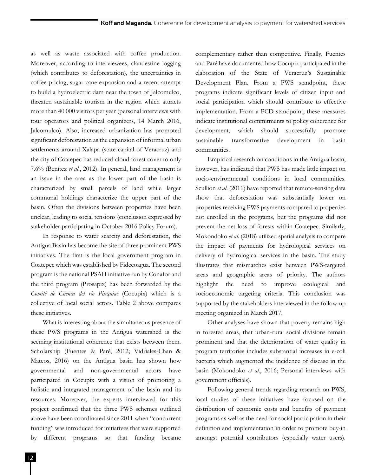as well as waste associated with coffee production. Moreover, according to interviewees, clandestine logging (which contributes to deforestation), the uncertainties in coffee pricing, sugar cane expansion and a recent attempt to build a hydroelectric dam near the town of Jalcomulco, threaten sustainable tourism in the region which attracts more than 40 000 visitors per year (personal interviews with tour operators and political organizers, 14 March 2016, Jalcomulco). Also, increased urbanization has promoted significant deforestation as the expansion of informal urban settlements around Xalapa (state capital of Veracruz) and the city of Coatepec has reduced cloud forest cover to only 7.6% (Benítez *et al*., 2012). In general, land management is an issue in the area as the lower part of the basin is characterized by small parcels of land while larger communal holdings characterize the upper part of the basin. Often the divisions between properties have been unclear, leading to social tensions (conclusion expressed by stakeholder participating in October 2016 Policy Forum).

In response to water scarcity and deforestation, the Antigua Basin has become the site of three prominent PWS initiatives. The first is the local government program in Coatepec which was established by Fidecoagua. The second program is the national PSAH initiative run by Conafor and the third program (Prosapix) has been forwarded by the *Comité de Cuenca del río Pixquiac* (Cocupix) which is a collective of local social actors. Table 2 above compares these initiatives.

What is interesting about the simultaneous presence of these PWS programs in the Antigua watershed is the seeming institutional coherence that exists between them. Scholarship (Fuentes & Paré, 2012; Vidriales-Chan & Mateos, 2016) on the Antigua basin has shown how governmental and non-governmental actors have participated in Cocupix with a vision of promoting a holistic and integrated management of the basin and its resources. Moreover, the experts interviewed for this project confirmed that the three PWS schemes outlined above have been coordinated since 2011 when "concurrent funding" was introduced for initiatives that were supported by different programs so that funding became

complementary rather than competitive. Finally, Fuentes and Paré have documented how Cocupix participated in the elaboration of the State of Veracruz's Sustainable Development Plan. From a PWS standpoint, these programs indicate significant levels of citizen input and social participation which should contribute to effective implementation. From a PCD standpoint, these measures indicate institutional commitments to policy coherence for development, which should successfully promote sustainable transformative development in basin communities.

Empirical research on conditions in the Antigua basin, however, has indicated that PWS has made little impact on socio-environmental conditions in local communities. Scullion *et al*. (2011) have reported that remote-sensing data show that deforestation was substantially lower on properties receiving PWS payments compared to properties not enrolled in the programs, but the programs did not prevent the net loss of forests within Coatepec. Similarly, Mokondoko *et al*. (2018) utilized spatial analysis to compare the impact of payments for hydrological services on delivery of hydrological services in the basin. The study illustrates that mismatches exist between PWS-targeted areas and geographic areas of priority. The authors highlight the need to improve ecological and socioeconomic targeting criteria. This conclusion was supported by the stakeholders interviewed in the follow-up meeting organized in March 2017.

Other analyses have shown that poverty remains high in forested areas, that urban-rural social divisions remain prominent and that the deterioration of water quality in program territories includes substantial increases in e-coli bacteria which augmented the incidence of disease in the basin (Mokondoko *et al*., 2016; Personal interviews with government officials).

Following general trends regarding research on PWS, local studies of these initiatives have focused on the distribution of economic costs and benefits of payment programs as well as the need for social participation in their definition and implementation in order to promote buy-in amongst potential contributors (especially water users).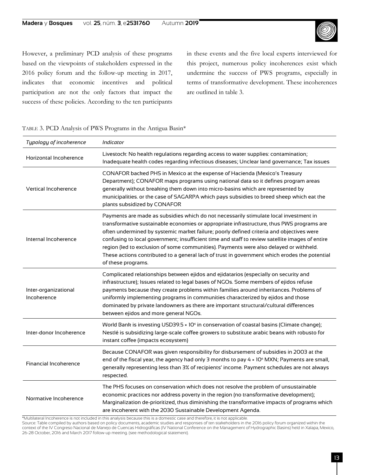

However, a preliminary PCD analysis of these programs based on the viewpoints of stakeholders expressed in the 2016 policy forum and the follow-up meeting in 2017, indicates that economic incentives and political participation are not the only factors that impact the success of these policies. According to the ten participants in these events and the five local experts interviewed for this project, numerous policy incoherences exist which undermine the success of PWS programs, especially in terms of transformative development. These incoherences are outlined in table 3.

| TABLE 3. PCD Analysis of PWS Programs in the Antigua Basin* |  |  |  |
|-------------------------------------------------------------|--|--|--|
|                                                             |  |  |  |

| Typology of incoherence             | Indicator                                                                                                                                                                                                                                                                                                                                                                                                                                                                                                                                                                                          |
|-------------------------------------|----------------------------------------------------------------------------------------------------------------------------------------------------------------------------------------------------------------------------------------------------------------------------------------------------------------------------------------------------------------------------------------------------------------------------------------------------------------------------------------------------------------------------------------------------------------------------------------------------|
| Horizontal Incoherence              | Livestock: No health regulations regarding access to water supplies: contamination;<br>Inadequate health codes regarding infectious diseases; Unclear land governance; Tax issues                                                                                                                                                                                                                                                                                                                                                                                                                  |
| <b>Vertical Incoherence</b>         | CONAFOR backed PHS in Mexico at the expense of Hacienda (Mexico's Treasury<br>Department); CONAFOR maps programs using national data so it defines program areas<br>generally without breaking them down into micro-basins which are represented by<br>municipalities. or the case of SAGARPA which pays subsidies to breed sheep which eat the<br>plants subsidized by CONAFOR                                                                                                                                                                                                                    |
| Internal Incoherence                | Payments are made as subsidies which do not necessarily stimulate local investment in<br>transformative sustainable economies or appropriate infrastructure, thus PWS programs are<br>often undermined by systemic market failure; poorly defined criteria and objectives were<br>confusing to local government; insufficient time and staff to review satellite images of entire<br>region (led to exclusion of some communities). Payments were also delayed or withheld.<br>These actions contributed to a general lack of trust in government which erodes the potential<br>of these programs. |
| Inter-organizational<br>Incoherence | Complicated relationships between ejidos and ejidatarios (especially on security and<br>infrastructure); Issues related to legal bases of NGOs. Some members of ejidos refuse<br>payments because they create problems within families around inheritances. Problems of<br>uniformly implementing programs in communities characterized by ejidos and those<br>dominated by private landowners as there are important structural/cultural differences<br>between ejidos and more general NGOs.                                                                                                     |
| Inter-donor Incoherence             | World Bank is investing USD39.5 × 10 <sup>6</sup> in conservation of coastal basins (Climate change);<br>Nestlé is subsidizing large-scale coffee growers to substitute arabic beans with robusto for<br>instant coffee (impacts ecosystem)                                                                                                                                                                                                                                                                                                                                                        |
| Financial Incoherence               | Because CONAFOR was given responsibility for disbursement of subsidies in 2003 at the<br>end of the fiscal year, the agency had only 3 months to pay 4 x 10 <sup>6</sup> MXN; Payments are small,<br>generally representing less than 3% of recipients' income. Payment schedules are not always<br>respected.                                                                                                                                                                                                                                                                                     |
| Normative Incoherence               | The PHS focuses on conservation which does not resolve the problem of unsustainable<br>economic practices nor address poverty in the region (no transformative development);<br>Marginalization de-prioritized, thus diminishing the transformative impacts of programs which<br>are incoherent with the 2030 Sustainable Development Agenda.                                                                                                                                                                                                                                                      |

\*Multilateral Incoherence is not included in this analysis because this is a domestic case and therefore, it is not applicable.

Source: Table compiled by authors based on policy documents, academic studies and responses of ten stakeholders in the 2016 policy forum organized within the context of the IV Congreso Nacional de Manejo de Cuencas Hidrográficas (IV National Conference on the Management of Hydrographic Basins) held in Xalapa, Mexico, 26-28 October, 2016 and March 2017 follow-up meeting. (see methodological statement).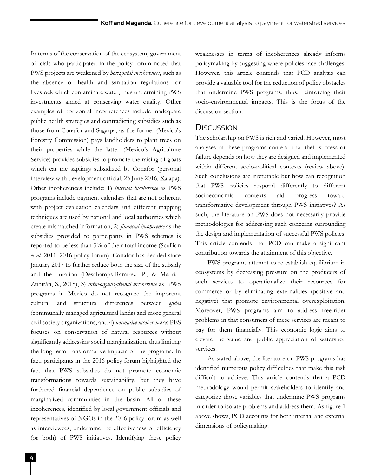In terms of the conservation of the ecosystem, government officials who participated in the policy forum noted that PWS projects are weakened by *horizontal incoherences*, such as the absence of health and sanitation regulations for livestock which contaminate water, thus undermining PWS investments aimed at conserving water quality. Other examples of horizontal incorherences include inadequate public health strategies and contradicting subsidies such as those from Conafor and Sagarpa, as the former (Mexico's Forestry Commission) pays landholders to plant trees on their properties while the latter (Mexico's Agriculture Service) provides subsidies to promote the raising of goats which eat the saplings subsidized by Conafor (personal interview with development official, 23 June 2016, Xalapa). Other incoherences include: 1) *internal incoherence* as PWS programs include payment calendars that are not coherent with project evaluation calendars and different mapping techniques are used by national and local authorities which create mismatched information, 2) *financial incoherence* as the subsidies provided to participants in PWS schemes is reported to be less than 3% of their total income (Scullion *et al*. 2011; 2016 policy forum). Conafor has decided since January 2017 to further reduce both the size of the subsidy and the duration (Deschamps-Ramírez, P., & Madrid-Zubirán, S., 2018), 3) *inter-organizational incoherence* as PWS programs in Mexico do not recognize the important cultural and structural differences between *ejidos* (communally managed agricultural lands) and more general civil society organizations, and 4) *normative incoherence* as PES focuses on conservation of natural resources without significantly addressing social marginalization, thus limiting the long-term transformative impacts of the programs. In fact, participants in the 2016 policy forum highlighted the fact that PWS subsidies do not promote economic transformations towards sustainability, but they have furthered financial dependence on public subsidies of marginalized communities in the basin. All of these incoherences, identified by local government officials and representatives of NGOs in the 2016 policy forum as well as interviewees, undermine the effectiveness or efficiency (or both) of PWS initiatives. Identifying these policy

weaknesses in terms of incoherences already informs policymaking by suggesting where policies face challenges. However, this article contends that PCD analysis can provide a valuable tool for the reduction of policy obstacles that undermine PWS programs, thus, reinforcing their socio-environmental impacts. This is the focus of the discussion section.

### **DISCUSSION**

The scholarship on PWS is rich and varied. However, most analyses of these programs contend that their success or failure depends on how they are designed and implemented within different socio-political contexts (review above). Such conclusions are irrefutable but how can recognition that PWS policies respond differently to different socioeconomic contexts aid progress toward transformative development through PWS initiatives? As such, the literature on PWS does not necessarily provide methodologies for addressing such concerns surrounding the design and implementation of successful PWS policies. This article contends that PCD can make a significant contribution towards the attainment of this objective.

PWS programs attempt to re-establish equilibrium in ecosystems by decreasing pressure on the producers of such services to operationalize their resources for commerce or by eliminating externalities (positive and negative) that promote environmental overexploitation. Moreover, PWS programs aim to address free-rider problems in that consumers of these services are meant to pay for them financially. This economic logic aims to elevate the value and public appreciation of watershed services.

As stated above, the literature on PWS programs has identified numerous policy difficulties that make this task difficult to achieve. This article contends that a PCD methodology would permit stakeholders to identify and categorize those variables that undermine PWS programs in order to isolate problems and address them. As figure 1 above shows, PCD accounts for both internal and external dimensions of policymaking.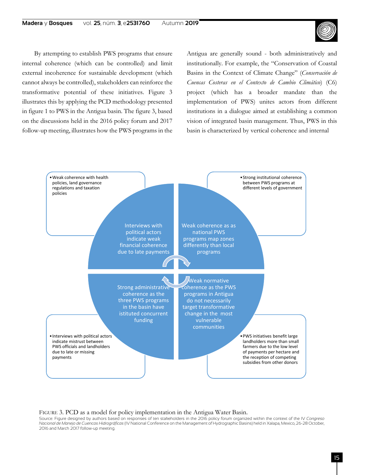#### **Madera** y **Bosques** vol. **25**, núm. **3**, e**2531760** Autumn **2019**



By attempting to establish PWS programs that ensure internal coherence (which can be controlled) and limit external incoherence for sustainable development (which cannot always be controlled), stakeholders can reinforce the transformative potential of these initiatives. Figure 3 illustrates this by applying the PCD methodology presented in figure 1 to PWS in the Antigua basin. The figure 3, based on the discussions held in the 2016 policy forum and 2017 follow-up meeting, illustrates how the PWS programs in the Antigua are generally sound - both administratively and institutionally. For example, the "Conservation of Coastal Basins in the Context of Climate Change" (*Conservación de Cuencas Costeras en el Contexto de Cambio Climático*) (C6) project (which has a broader mandate than the implementation of PWS) unites actors from different institutions in a dialogue aimed at establishing a common vision of integrated basin management. Thus, PWS in this basin is characterized by vertical coherence and internal



#### FIGURE 3. PCD as a model for policy implementation in the Antigua Water Basin.

Source: Figure designed by authors based on responses of ten stakeholders in the 2016 policy forum organized within the context of the IV *Congreso Nacional de Manejo de Cuencas Hidrográficas* (IV National Conference on the Management of Hydrographic Basins) held in Xalapa, Mexico, 26-28 October, 2016 and March 2017 follow-up meeting.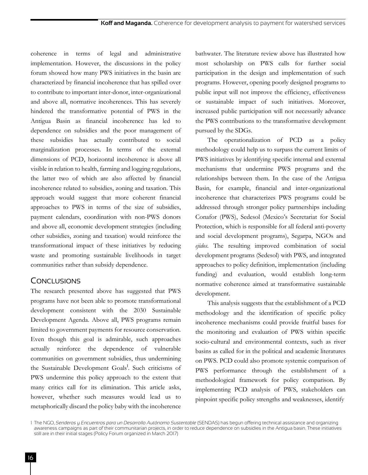coherence in terms of legal and administrative implementation. However, the discussions in the policy forum showed how many PWS initiatives in the basin are characterized by financial incoherence that has spilled over to contribute to important inter-donor, inter-organizational and above all, normative incoherences. This has severely hindered the transformative potential of PWS in the Antigua Basin as financial incoherence has led to dependence on subsidies and the poor management of these subsidies has actually contributed to social marginalization processes. In terms of the external dimensions of PCD, horizontal incoherence is above all visible in relation to health, farming and logging regulations, the latter two of which are also affected by financial incoherence related to subsidies, zoning and taxation. This approach would suggest that more coherent financial approaches to PWS in terms of the size of subsidies, payment calendars, coordination with non-PWS donors and above all, economic development strategies (including other subsidies, zoning and taxation) would reinforce the transformational impact of these initiatives by reducing waste and promoting sustainable livelihoods in target communities rather than subsidy dependence.

## **CONCLUSIONS**

The research presented above has suggested that PWS programs have not been able to promote transformational development consistent with the 2030 Sustainable Development Agenda. Above all, PWS programs remain limited to government payments for resource conservation. Even though this goal is admirable, such approaches actually reinforce the dependence of vulnerable communities on government subsidies, thus undermining the Sustainable Development Goals<sup>1</sup>. Such criticisms of PWS undermine this policy approach to the extent that many critics call for its elimination. This article asks, however, whether such measures would lead us to metaphorically discard the policy baby with the incoherence

bathwater. The literature review above has illustrated how most scholarship on PWS calls for further social participation in the design and implementation of such programs. However, opening poorly designed programs to public input will not improve the efficiency, effectiveness or sustainable impact of such initiatives. Moreover, increased public participation will not necessarily advance the PWS contributions to the transformative development pursued by the SDGs.

The operationalization of PCD as a policy methodology could help us to surpass the current limits of PWS initiatives by identifying specific internal and external mechanisms that undermine PWS programs and the relationships between them. In the case of the Antigua Basin, for example, financial and inter-organizational incoherence that characterizes PWS programs could be addressed through stronger policy partnerships including Conafor (PWS), Sedesol (Mexico's Secretariat for Social Protection, which is responsible for all federal anti-poverty and social development programs), Segarpa, NGOs and *ejidos*. The resulting improved combination of social development programs (Sedesol) with PWS, and integrated approaches to policy definition, implementation (including funding) and evaluation, would establish long-term normative coherence aimed at transformative sustainable development.

This analysis suggests that the establishment of a PCD methodology and the identification of specific policy incoherence mechanisms could provide fruitful bases for the monitoring and evaluation of PWS within specific socio-cultural and environmental contexts, such as river basins as called for in the political and academic literatures on PWS. PCD could also promote systemic comparison of PWS performance through the establishment of a methodological framework for policy comparison. By implementing PCD analysis of PWS, stakeholders can pinpoint specific policy strengths and weaknesses, identify

<sup>1</sup> The NGO, *Senderos y Encuentros para un Desarrollo Autónomo Sustentable* (SENDAS) has begun offering technical assistance and organizing awareness campaigns as part of their communitarian projects, in order to reduce dependence on subsidies in the Antigua basin. These initiatives still are in their initial stages (Policy Forum organized in March 2017)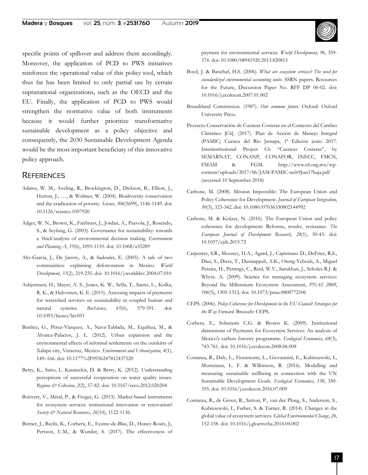specific points of spillover and address them accordingly. Moreover, the application of PCD to PWS initiatives reinforces the operational value of this policy tool, which thus far has been limited to only partial use by certain supranational organizations, such as the OECD and the EU. Finally, the application of PCD to PWS would strengthen the normative value of both instruments because it would further prioritize transformative sustainable development as a policy objective and consequently, the 2030 Sustainable Development Agenda would be the most important beneficiary of this innovative policy approach.

### **REFERENCES**

- Adams, W. M., Aveling, R., Brockington, D., Dickson, B., Elliott, J., Hutton, J., …, & Wolmer, W. (2004). Biodiversity conservation and the eradication of poverty. *Science*, *306*(5699), 1146-1149. doi: 10.1126/science.1097920
- Adger, W. N., Brown, K., Fairbrass, J., Jordan, A., Paavola, J., Rosendo, S., & Seyfang, G. (2003). Governance for sustainability: towards a 'thick'analysis of environmental decision making. *Environment and Planning A*, *35*(6), 1095-1110. doi: 10.1068/a35289
- Alix-Garcia, J., De Janvry, A., & Sadoulet, E. (2005). A tale of two communities: explaining deforestation in Mexico. *World Development*, *33*(2), 219-235. doi: 10.1016/j.worlddev.2004.07.010
- Asbjornsen, H., Mayer, A. S., Jones, K. W., Selfa, T., Saenz, L., Kolka, R. K., & Halvorsen, K. E. (2015). Assessing impacts of payments for watershed services on sustainability in coupled human and natural systems. *BioScience*, *65*(6), 579-591. doi: 10.1093/biosci/biv051
- Benítez, G., Pérez-Vázquez, A., Nava-Tablada, M., Equihua, M., & Álvarez-Palacios, J. L. (2012). Urban expansion and the environmental effects of informal settlements on the outskirts of Xalapa city, Veracruz, Mexico. *Environment and Urbanization*, *4*(1), 149–166. doi: 10.1177%2F0956247812437520
- Berry, K., Saito, L. Kauneckis, D. & Berry, K. (2012). Understanding perceptions of successful cooperation on water quality issues. *Regions & Cohesion*, *2*(2), 57-82. doi: 10.3167/reco.2012.020204
- Boisvert, V., Méral, P., & Froger, G. (2013). Market-based instruments for ecosystem services: institutional innovation or renovation? *Society & Natural Resources*, *26*(10), 1122-1136.
- Börner, J., Baylis, K., Corbera, E., Ezzine-de-Blas, D., Honey-Rosés, J., Persson, U.M., & Wunder, S. (2017). The effectiveness of

payment for environmental services. *World Development*, *96*, 359- 374. doi: 10.1080/08941920.2013.820815

- Boyd, J. & Banzhaf, H.S. (2006). *What are ecosystem services? The need for standardized environmental accounting units*. SSRN papers. Resources for the Future, Discussion Paper No. RFF DP 06-02. doi: 10.1016/j.ecolecon.2007.01.002
- Brundtland Commission. (1987). *Our common future*. Oxford: Oxford University Press.
- Proyecto Conservación de Cuencas Costeras en el Contexto del Cambio Climático [C6]. (2017). Plan de Acción de Manejo Integral (PAMIC) Cuenca del Río Jamapa, 1ª Edición junio 2017. Interinstitutional Project C6 "Cuencas Costeras", by SEMARNAT, CONANP, CONAFOR, INECC, FMCN, FMAM & FGM. http://www.c6.org.mx/wpcontent/uploads/2017/06/JAM-PAMIC-web9Jun17baja.pdf (accessed 10 September 2018)
- Carbone, M. (2008). Mission Impossible: The European Union and Policy Coherence for Development. *Journal of European Integration*, *30*(3), 323-342. doi: 10.1080/07036330802144992
- Carbone, M. & Keijzer, N. (2016). The European Union and policy coherence for development: Reforms, results, resistance. *The European Journal of Development Research*, *28*(1), 30-43. doi: 10.1057/ejdr.2015.72
- Carpenter, S.R., Mooney, H.A., Agard, J., Capistrano D., DeFries, R.S., Díaz, S., Dietz, T., Duraiappah, A.K., Oteng-Yeboah, A., Miguel Pereira, H., Perrings, C., Reid, W.V., Sarukhan, J., Scholes R.J. & Whyte. A. (2009). Science for managing ecosystem services: Beyond the Millennium Ecosystem Assessment, *PNAS 2009*, *106*(5), 1305-1312*;* doi: 10.1073/pnas.0808772106
- CEPS. (2006). *Policy Coherence for Development in the EU Council: Strategies for the Way Forward*. Brussels: CEPS.
- Corbera, E., Soberanis C.G. & Brown K. (2009). Institutional dimensions of Payments for Ecosystem Services: An analysis of Mexico's carbon forestry programme. *Ecological Economics*, *68*(3), 743-761. doi: 10.1016/j.ecolecon.2008.06.008
- Costanza, R., Daly, L., Fioramonti, L., Giovannini, E., Kubiszewski, I., Mortensen, L. F. & Wilkinson, R. (2016). Modelling and measuring sustainable wellbeing in connection with the UN Sustainable Development Goals. *Ecological Economics*, *130*, 350- 355. doi: 10.1016/j.ecolecon.2016.07.009
- Costanza, R., de Groot, R., Sutton, P., van der Ploeg, S., Anderson, S., Kubiszewski, I., Farber, S. & Turner, R. (2014). Changes in the global value of ecosystem services. *Global Environmental Change*, *26*, 152-158. doi: 10.1016/j.gloenvcha.2014.04.002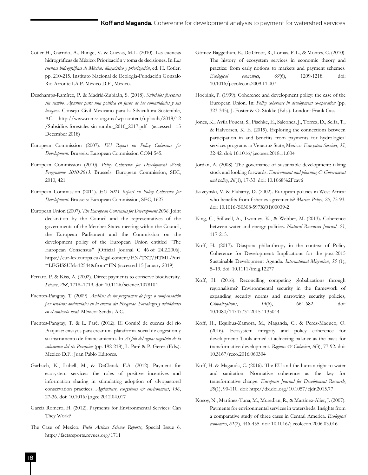- Cotler H., Garrido, A., Bunge, V. & Cuevas, M.L. (2010). Las cuencas hidrográficas de México: Priorización y toma de decisiones. In *Las cuencas hidrográficas de México: diagnóstico y priorización*, ed. H. Cotler. pp. 210-215. Instituto Nacional de Ecología-Fundación Gonzalo Río Arronte I.A.P. México D.F., México.
- Deschamps-Ramírez, P. & Madrid-Zubirán, S. (2018). *Subsidios forestales sin rumbo. Apuntes para una política en favor de las comunidades y sus bosques*. Consejo Civil Mexicano para la Silvicultura Sostenible, AC. http://www.ccmss.org.mx/wp-content/uploads/2018/12 /Subsidios-forestales-sin-rumbo\_2010\_2017.pdf (accessed 15 December 2018)
- European Commission (2007). *EU Report on Policy Coherence for Development*. Brussels: European Commission COM 545.
- European Commission (2010). *Policy Coherence for Development Work Programme 2010-2013*. Brussels: European Commission, SEC, 2010, 421.
- European Commission (2011). *EU 2011 Report on Policy Coherence for Development*. Brussels: European Commission, SEC, 1627.
- European Union (2007). *The European Consensus for Development 2006*. Joint declaration by the Council and the representatives of the governments of the Member States meeting within the Council, the European Parliament and the Commission on the development policy of the European Union entitled "The European Consensus" [Official Journal C 46 of 24.2.2006]. https://eur-lex.europa.eu/legal-content/EN/TXT/HTML/?uri =LEGISSUM:r12544&from=EN (accessed 15 January 2019)
- Ferraro, P. & Kiss, A. (2002). Direct payments to conserve biodiversity. *Science*, *298*, 1718–1719. doi: 10.1126/science.1078104
- Fuentes-Pangtay, T. (2009). *Análisis de los programas de pago o compensación por servicios ambientales en la cuenca del Pixquiac. Fortalezas y debilidades en el contexto local.* México: Sendas A.C.
- Fuentes-Pangtay, T. & L. Paré. (2012). El Comité de cuenca del río Pixquiac: ensayos para crear una plataforma social de cogestión y su instrumento de financiamiento. In *Al filo del agua: cogestión de la subcuenca del río Pixquiac* (pp. 192-218), L. Paré & P. Gerez (Eds.). Mexico D.F.: Juan Pablo Editores.
- Garbach, K., Lubell, M., & DeClerck, F.A. (2012). Payment for ecosystem services: the roles of positive incentives and information sharing in stimulating adoption of silvopastoral conservation practices. *Agriculture, ecosystems & environment*, *156*, 27-36. doi: 10.1016/j.agee.2012.04.017
- García Romero, H. (2012). Payments for Environmental Services: Can They Work?
- The Case of Mexico. *Field Actions Science Reports*, Special Issue 6. http://factsreports.revues.org/1711
- Gómez-Baggethun, E., De Groot, R., Lomas, P. L., & Montes, C. (2010). The history of ecosystem services in economic theory and practice: from early notions to markets and payment schemes. *Ecological economics*, *69*(6), 1209-1218. doi: 10.1016/j.ecolecon.2009.11.007
- Hoebink, P. (1999). Coherence and development policy: the case of the European Union. In: *Policy coherence in development co-operation* (pp. 323-345)*,* J. Foster & O. Stokke (Eds.). London: Frank Cass.
- Jones, K., Avila Foucat, S., Pischke, E., Salconea, J., Torrez, D., Selfa, T., & Halvorsen, K. E. (2019). Exploring the connections between participation in and benefits from payments for hydrological services programs in Veracruz State, Mexico. *Ecosystem Services*, *35*, 32-42. doi: 10.1016/j.ecoser.2018.11.004
- Jordan, A. (2008). The governance of sustainable development: taking stock and looking forwards. *Environment and planning C: Government and policy*, *26*(1), 17-33. doi: 10.1068%2Fcav6
- Kazcynski, V. & Fluharty, D. (2002). European policies in West Africa: who benefits from fisheries agreements? *Marine Policy*, *26*, 75-93. doi: 10.1016/S0308-597X(01)00039-2
- King, C., Stillwell, A., Twomey, K., & Webber, M. (2013). Coherence between water and energy policies. *Natural Resources Journal*, *53*, 117-215.
- Koff, H. (2017). Diaspora philanthropy in the context of Policy Coherence for Development: Implications for the post-2015 Sustainable Development Agenda. *International Migration*, *55* (1), 5–19*.* doi: 10.1111/imig.12277
- Koff, H. (2016). Reconciling competing globalizations through regionalisms? Environmental security in the framework of expanding security norms and narrowing security policies, *Globalizations*, *13*(6), 664-682. doi: 10.1080/14747731.2015.1133044
- Koff, H., Equihua-Zamora, M., Maganda, C., & Perez-Maqueo, O. (2016). Ecosystem integrity and policy coherence for development: Tools aimed at achieving balance as the basis for transformative development. *Regions & Cohesion*, 6(3), 77-92. doi: 10.3167/reco.2016.060304
- Koff, H. & Maganda, C. (2016). The EU and the human right to water and sanitation: Normative coherence as the key for transformative change. *European Journal for Development Research*, *28*(1), 90-110. doi: http://dx.doi.org/10.1057/ejdr.2015.77
- Kosoy, N., Martinez-Tuna, M., Muradian, R., & Martinez-Alier, J. (2007). Payments for environmental services in watersheds: Insights from a comparative study of three cases in Central America. *Ecological economics*, *61*(2), 446-455. doi: 10.1016/j.ecolecon.2006.03.016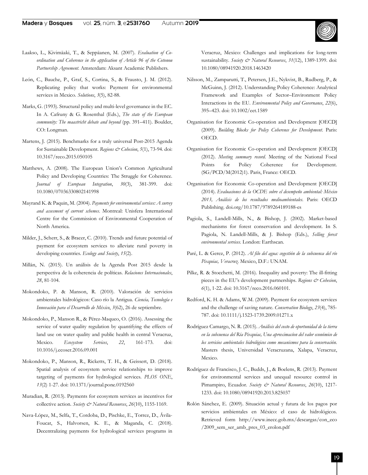- Laakso, L., Kivimäaki, T., & Seppäanen, M. (2007). *Evaluation of Coordination and Coherence in the application of Article 96 of the Cotonou Partnership Agreement*. Amsterdam: Aksant Academic Publishers.
- León, C., Bauche, P., Graf, S., Cortina, S., & Frausto, J. M. (2012). Replicating policy that works: Payment for environmental services in Mexico. *Solutions*, *3*(5), 82-88.
- Marks, G. (1993). Structural policy and multi-level governance in the EC. In A. Cafruny & G. Rosenthal (Eds.), *The state of the European*  community: The maastricht debate and beyond (pp. 391-411). Boulder, CO: Longman.
- Martens, J. (2015). Benchmarks for a truly universal Post-2015 Agenda for Sustainable Development. *Regions & Cohesion*, *5*(1), 73-94. doi: 10.3167/reco.2015.050105
- Matthews, A. (2008). The European Union's Common Agricultural Policy and Developing Countries: The Struggle for Coherence. *Journal of European Integration*, *30*(3), 381-399. doi: 10.1080/07036330802141998
- Mayrand K. & Paquin, M. (2004). *Payments for environmental services: A survey and assesment of current schemes*. Montreal: Unisfera International Centre for the Commission of Environmental Cooperation of North America.
- Milder, J., Scherr, S., & Bracer, C. (2010). Trends and future potential of payment for ecosystem services to alleviate rural poverty in developing countries. *Ecology and Society*, *15*(2).
- Millán, N. (2015). Un análisis de la Agenda Post 2015 desde la perspectiva de la coherencia de políticas. *Relaciones Internacionales*, *28*, 81-104.
- Mokondoko, P. & Manson, R. (2010). Valoración de servicios ambientales hidrológicos: Caso río la Antigua. *Ciencia, Tecnología e Innovación para el Desarrollo de México*, *3*(62), 26 de septiembre.
- Mokondoko, P., Manson R., & Pérez-Maqueo, O. (2016). Assessing the service of water quality regulation by quantifying the effects of land use on water quality and public health in central Veracruz, Mexico. *Ecosystem Services*, *22*, 161-173. doi: 10.1016/j.ecoser.2016.09.001
- Mokondoko, P., Manson, R., Ricketts, T. H., & Geissert, D. (2018). Spatial analysis of ecosystem service relationships to improve targeting of payments for hydrological services. *PLOS ONE*, *13*(2) 1-27. doi: 10.1371/journal.pone.0192560
- Muradian, R. (2013). Payments for ecosystem services as incentives for collective action. *Society & Natural Resources*, *26*(10), 1155-1169.
- Nava-López, M., Selfa, T., Cordoba, D., Pischke, E., Torrez, D., Ávila-Foucat, S., Halvorsen, K. E., & Maganda, C. (2018). Decentralizing payments for hydrological services programs in

Veracruz, Mexico: Challenges and implications for long-term sustainability. *Society & Natural Resources*, *31*(12), 1389-1399. doi: 10.1080/08941920.2018.1463420

- Nilsson, M., Zamparutti, T., Petersen, J.E., Nykvist, B., Rudberg, P., & McGuinn, J. (2012). Understanding Policy Coherence: Analytical Framework and Examples of Sector–Environment Policy Interactions in the EU. *Environmental Policy and Governance*, *22*(6), 395–423. doi: 10.1002/eet.1589
- Organisation for Economic Co-operation and Development [OECD] (2009). *Building Blocks for Policy Coherence for Development*. Paris: OECD.
- Organisation for Economic Co-operation and Development [OECD] (2012). *Meeting summary record*. Meeting of the National Focal Points for Policy Coherence for Development. (SG/PCD/M(2012)1). Paris, France: OECD.
- Organisation for Economic Co-operation and Development [OECD] (2014). *Evaluaciones de la OCDE sobre el desempeño ambiental: México 2013, Análisis de los resultados medioambientales*. Paris: OECD Publishing. doi.org/10.1787/9789264189188-es
- Pagiola, S., Landell-Mills, N., & Bishop, J. (2002). Market-based mechanisms for forest conservation and development. In S. Pagiola, N. Landell-Mills, & J. Bishop (Eds.), *Selling forest environmental services*. London: Earthscan.
- Paré, L. & Gerez, P. (2012). *Al filo del agua: cogestión de la subcuenca del río Pixquiac, Veracruz*. Mexico, D.F.: UNAM.
- Pilke, R. & Stocchetti, M. (2016). Inequality and poverty: The ill-fitting pieces in the EU's development partnerships. *Regions & Cohesion*, *6*(1), 1-22. doi: 10.3167/reco.2016.060101.
- Redford, K. H. & Adams, W.M. (2009). Payment for ecosystem services and the challenge of saving nature. *Conservation Biology*, *23*(4), 785- 787. doi: 10.1111/j.1523-1739.2009.01271.x
- Rodríguez Camargo, N. R. (2015). *Análisis del costo de oportunidad de la tierra en la subcuenca del Ría Pixquiac, Una aproximacíon del valor económico de los servicios ambientales hidrológicos como mecanismos para la conservación*. Masters thesis, Universidad Veracruzana, Xalapa, Veracruz, Mexico.
- Rodríguez de Francisco, J. C., Budds, J., & Boelens, R. (2013). Payment for environmental services and unequal resource control in Pimampiro, Ecuador. *Society & Natural Resources*, *26*(10), 1217- 1233. doi: 10.1080/08941920.2013.825037
- Rolón Sánchez, E. (2009). Situación actual y futura de los pagos por servicios ambientales en México: el caso de hidrológicos. Retrieved form http://www.inecc.gob.mx/descargas/con\_eco /2009\_sem\_ser\_amb\_pres\_03\_erolon.pdf